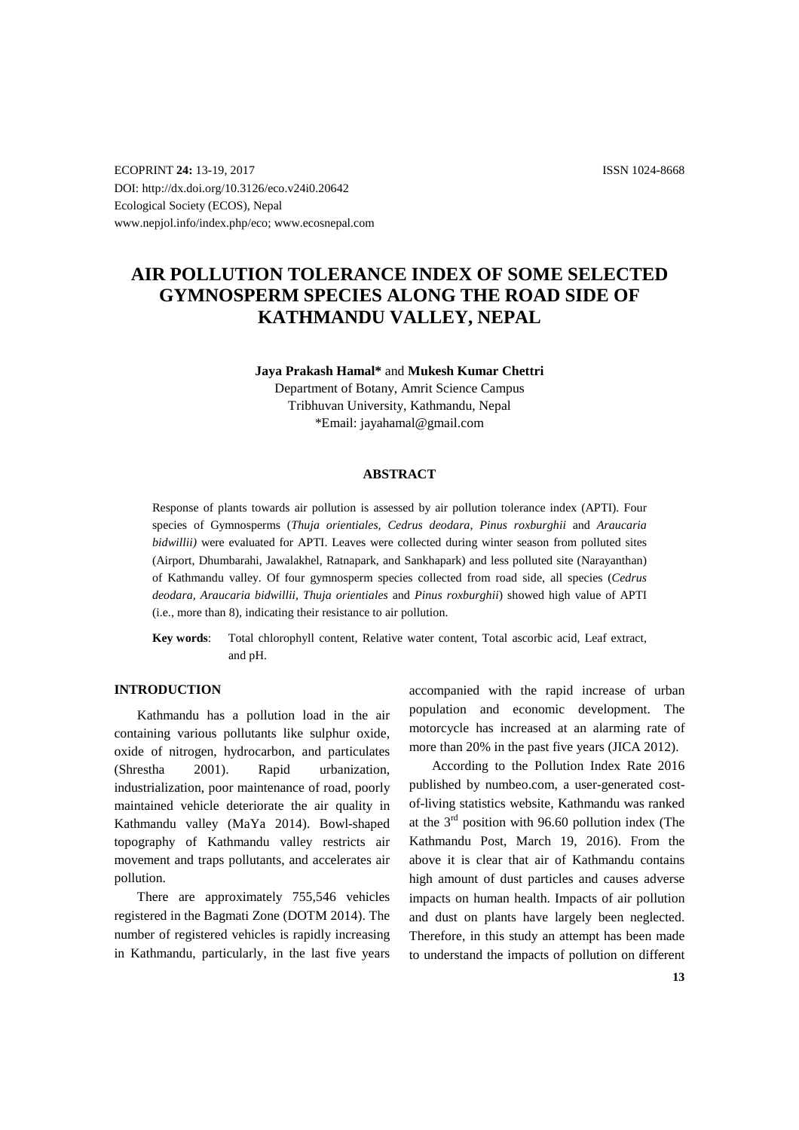ECOPRINT **24:** 13-19, 2017 ISSN 1024-8668 DOI: http://dx.doi.org/10.3126/eco.v24i0.20642 Ecological Society (ECOS), Nepal www.nepjol.info/index.php/eco; www.ecosnepal.com

# **AIR POLLUTION TOLERANCE INDEX OF SOME SELECTED GYMNOSPERM SPECIES ALONG THE ROAD SIDE OF KATHMANDU VALLEY, NEPAL**

#### **Jaya Prakash Hamal\*** and **Mukesh Kumar Chettri**

Department of Botany, Amrit Science Campus Tribhuvan University, Kathmandu, Nepal \*Email: jayahamal@gmail.com

#### **ABSTRACT**

Response of plants towards air pollution is assessed by air pollution tolerance index (APTI). Four species of Gymnosperms (*Thuja orientiales, Cedrus deodara, Pinus roxburghii* and *Araucaria bidwillii)* were evaluated for APTI. Leaves were collected during winter season from polluted sites (Airport, Dhumbarahi, Jawalakhel, Ratnapark, and Sankhapark) and less polluted site (Narayanthan) of Kathmandu valley. Of four gymnosperm species collected from road side, all species (*Cedrus deodara, Araucaria bidwillii, Thuja orientiales* and *Pinus roxburghii*) showed high value of APTI (i.e., more than 8)*,* indicating their resistance to air pollution.

**Key words**: Total chlorophyll content, Relative water content, Total ascorbic acid, Leaf extract, and pH.

# **INTRODUCTION**

Kathmandu has a pollution load in the air containing various pollutants like sulphur oxide, oxide of nitrogen, hydrocarbon, and particulates (Shrestha 2001). Rapid urbanization, industrialization, poor maintenance of road, poorly maintained vehicle deteriorate the air quality in Kathmandu valley (MaYa 2014). Bowl-shaped topography of Kathmandu valley restricts air movement and traps pollutants, and accelerates air pollution.

There are approximately 755,546 vehicles registered in the Bagmati Zone (DOTM 2014). The number of registered vehicles is rapidly increasing in Kathmandu, particularly, in the last five years accompanied with the rapid increase of urban population and economic development. The motorcycle has increased at an alarming rate of more than 20% in the past five years (JICA 2012).

According to the Pollution Index Rate 2016 published by numbeo.com, a user-generated costof-living statistics website, Kathmandu was ranked at the  $3<sup>rd</sup>$  position with 96.60 pollution index (The Kathmandu Post, March 19, 2016). From the above it is clear that air of Kathmandu contains high amount of dust particles and causes adverse impacts on human health. Impacts of air pollution and dust on plants have largely been neglected. Therefore, in this study an attempt has been made to understand the impacts of pollution on different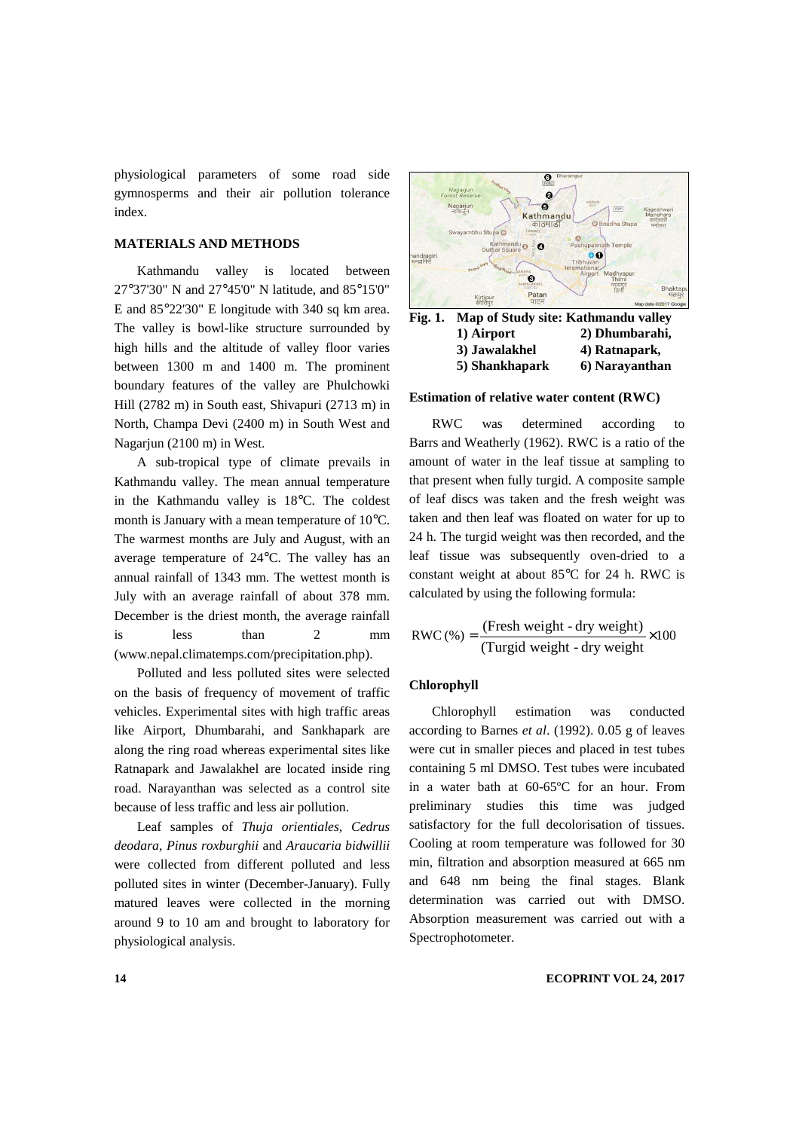physiological parameters of some road side gymnosperms and their air pollution tolerance index.

# **MATERIALS AND METHODS**

Kathmandu valley is located between 27°37'30" N and 27°45'0" N latitude, and 85°15'0" E and 85°22'30" E longitude with 340 sq km area. The valley is bowl-like structure surrounded by high hills and the altitude of valley floor varies between 1300 m and 1400 m. The prominent boundary features of the valley are Phulchowki Hill (2782 m) in South east, Shivapuri (2713 m) in North, Champa Devi (2400 m) in South West and Nagarjun (2100 m) in West.

A sub-tropical type of climate prevails in Kathmandu valley. The mean annual temperature in the Kathmandu valley is 18°C. The coldest month is January with a mean temperature of 10°C. The warmest months are July and August, with an average temperature of 24°C. The valley has an annual rainfall of 1343 mm. The wettest month is July with an average rainfall of about 378 mm. December is the driest month, the average rainfall is less than 2 mm (www.nepal.climatemps.com/precipitation.php).

Polluted and less polluted sites were selected on the basis of frequency of movement of traffic vehicles. Experimental sites with high traffic areas like Airport, Dhumbarahi, and Sankhapark are along the ring road whereas experimental sites like Ratnapark and Jawalakhel are located inside ring road. Narayanthan was selected as a control site because of less traffic and less air pollution.

Leaf samples of *Thuja orientiales, Cedrus deodara, Pinus roxburghii* and *Araucaria bidwillii*  were collected from different polluted and less polluted sites in winter (December-January). Fully matured leaves were collected in the morning around 9 to 10 am and brought to laboratory for physiological analysis.



 **1) Airport 2) Dhumbarahi, 3) Jawalakhel 4) Ratnapark, 5) Shankhapark 6) Narayanthan** 

#### **Estimation of relative water content (RWC)**

RWC was determined according to Barrs and Weatherly (1962). RWC is a ratio of the amount of water in the leaf tissue at sampling to that present when fully turgid. A composite sample of leaf discs was taken and the fresh weight was taken and then leaf was floated on water for up to 24 h. The turgid weight was then recorded, and the leaf tissue was subsequently oven-dried to a constant weight at about 85°C for 24 h. RWC is calculated by using the following formula:

$$
RWC(\%) = \frac{(Fresh weight - dry weight)}{(Turgid weight - dry weight)} \times 100
$$

#### **Chlorophyll**

Chlorophyll estimation was conducted according to Barnes *et al*. (1992). 0.05 g of leaves were cut in smaller pieces and placed in test tubes containing 5 ml DMSO. Test tubes were incubated in a water bath at 60-65ºC for an hour. From preliminary studies this time was judged satisfactory for the full decolorisation of tissues. Cooling at room temperature was followed for 30 min, filtration and absorption measured at 665 nm and 648 nm being the final stages. Blank determination was carried out with DMSO. Absorption measurement was carried out with a Spectrophotometer.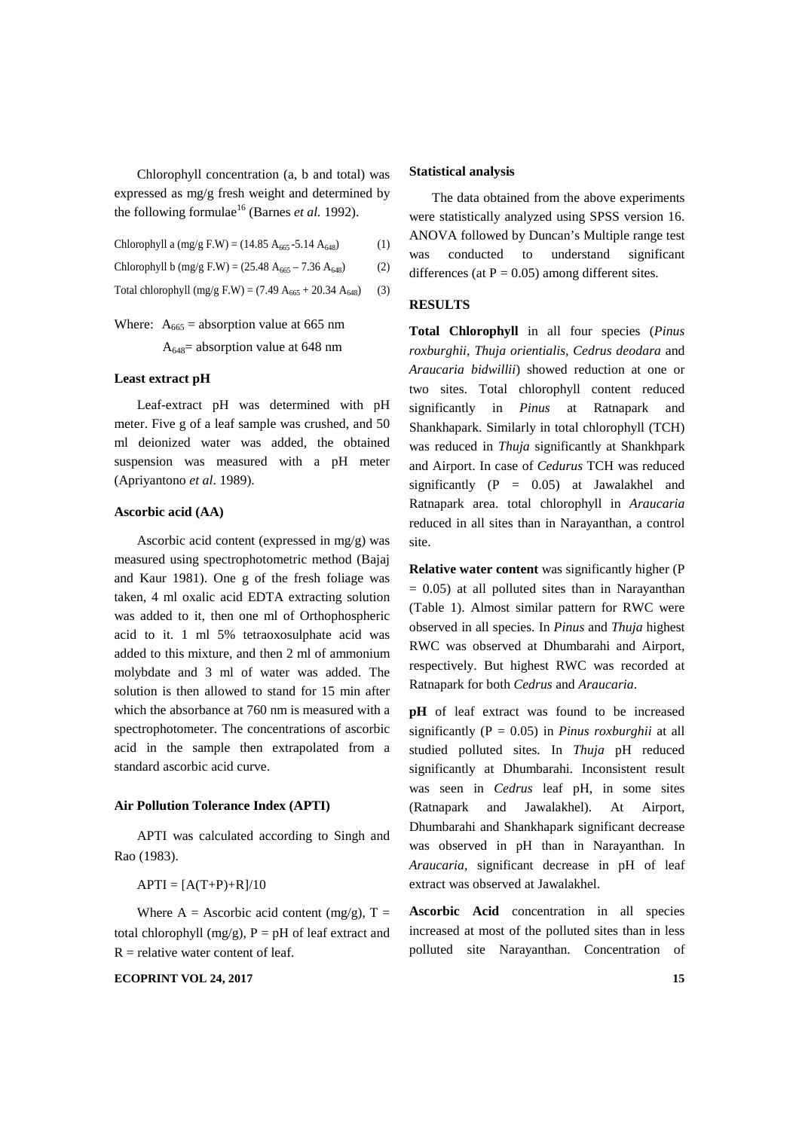Chlorophyll concentration (a, b and total) was expressed as mg/g fresh weight and determined by the following formulae<sup>16</sup> (Barnes *et al.* 1992).

Chlorophyll a  $(mg/g F.W) = (14.85 A_{665} - 5.14 A_{648})$  (1)

Chlorophyll b (mg/g F.W) = 
$$
(25.48 \text{ A}_{665} - 7.36 \text{ A}_{648})
$$
 (2)

Total chlorophyll (mg/g F.W) = (7.49  $A_{665}$  + 20.34  $A_{648}$ ) (3)

# Where:  $A_{665}$  = absorption value at 665 nm

 $A_{648}$ = absorption value at 648 nm

# **Least extract pH**

Leaf-extract pH was determined with pH meter. Five g of a leaf sample was crushed, and 50 ml deionized water was added, the obtained suspension was measured with a pH meter (Apriyantono *et al*. 1989).

### **Ascorbic acid (AA)**

Ascorbic acid content (expressed in mg/g) was measured using spectrophotometric method (Bajaj and Kaur 1981). One g of the fresh foliage was taken, 4 ml oxalic acid EDTA extracting solution was added to it, then one ml of Orthophospheric acid to it. 1 ml 5% tetraoxosulphate acid was added to this mixture, and then 2 ml of ammonium molybdate and 3 ml of water was added. The solution is then allowed to stand for 15 min after which the absorbance at 760 nm is measured with a spectrophotometer. The concentrations of ascorbic acid in the sample then extrapolated from a standard ascorbic acid curve.

# **Air Pollution Tolerance Index (APTI)**

APTI was calculated according to Singh and Rao (1983).

#### $APTI = [A(T+P)+R]/10$

Where A = Ascorbic acid content (mg/g),  $T =$ total chlorophyll (mg/g),  $P = pH$  of leaf extract and  $R =$  relative water content of leaf.

#### **ECOPRINT VOL 24, 2017** 15

#### **Statistical analysis**

The data obtained from the above experiments were statistically analyzed using SPSS version 16. ANOVA followed by Duncan's Multiple range test was conducted to understand significant differences (at  $P = 0.05$ ) among different sites.

#### **RESULTS**

**Total Chlorophyll** in all four species (*Pinus roxburghii*, *Thuja orientialis, Cedrus deodara* and *Araucaria bidwillii*) showed reduction at one or two sites. Total chlorophyll content reduced significantly in *Pinus* at Ratnapark and Shankhapark. Similarly in total chlorophyll (TCH) was reduced in *Thuja* significantly at Shankhpark and Airport. In case of *Cedurus* TCH was reduced significantly  $(P = 0.05)$  at Jawalakhel and Ratnapark area. total chlorophyll in *Araucaria* reduced in all sites than in Narayanthan, a control site.

**Relative water content** was significantly higher (P  $= 0.05$ ) at all polluted sites than in Narayanthan (Table 1). Almost similar pattern for RWC were observed in all species. In *Pinus* and *Thuja* highest RWC was observed at Dhumbarahi and Airport, respectively. But highest RWC was recorded at Ratnapark for both *Cedrus* and *Araucaria*.

**pH** of leaf extract was found to be increased significantly (P = 0.05) in *Pinus roxburghii* at all studied polluted sites*.* In *Thuja* pH reduced significantly at Dhumbarahi. Inconsistent result was seen in *Cedrus* leaf pH, in some sites (Ratnapark and Jawalakhel). At Airport, Dhumbarahi and Shankhapark significant decrease was observed in pH than in Narayanthan. In *Araucaria*, significant decrease in pH of leaf extract was observed at Jawalakhel.

**Ascorbic Acid** concentration in all species increased at most of the polluted sites than in less polluted site Narayanthan. Concentration of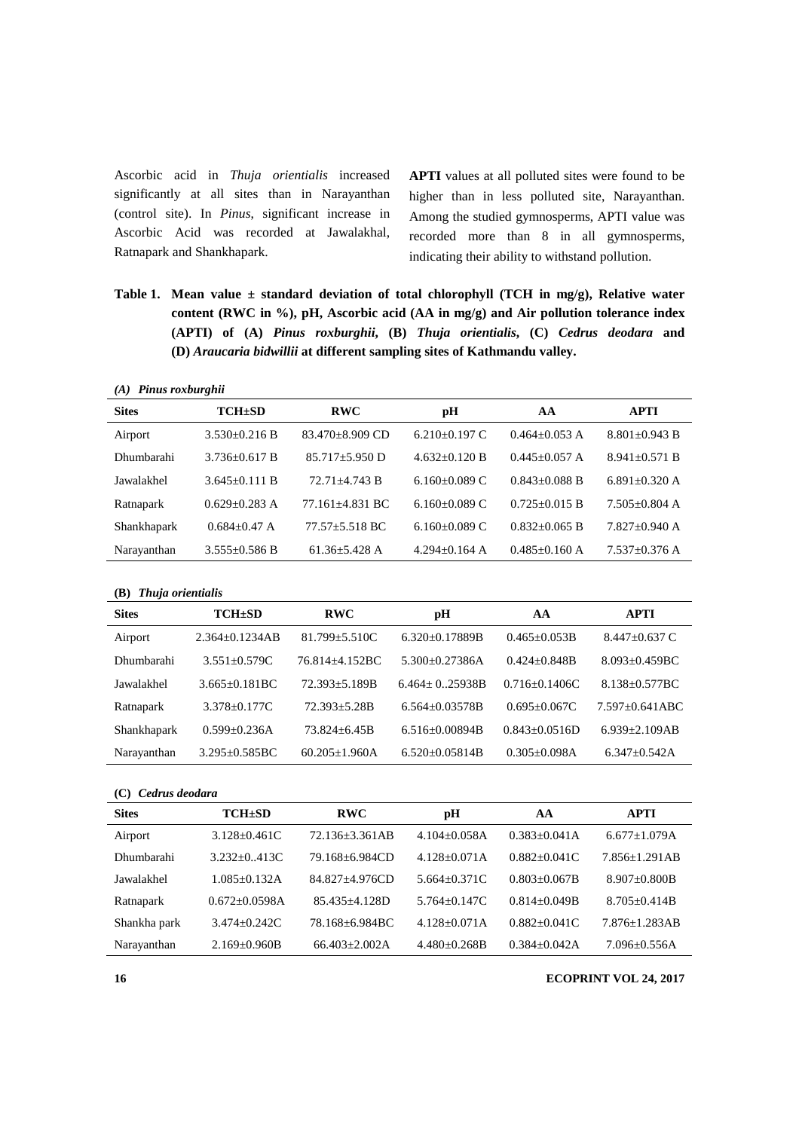Ascorbic acid in *Thuja orientialis* increased significantly at all sites than in Narayanthan (control site). In *Pinus*, significant increase in Ascorbic Acid was recorded at Jawalakhal, Ratnapark and Shankhapark.

**APTI** values at all polluted sites were found to be higher than in less polluted site, Narayanthan. Among the studied gymnosperms, APTI value was recorded more than 8 in all gymnosperms, indicating their ability to withstand pollution.

**Table 1. Mean value ± standard deviation of total chlorophyll (TCH in mg/g), Relative water content (RWC in %), pH, Ascorbic acid (AA in mg/g) and Air pollution tolerance index (APTI) of (A)** *Pinus roxburghii***, (B)** *Thuja orientialis***, (C)** *Cedrus deodara* **and (D)** *Araucaria bidwillii* **at different sampling sites of Kathmandu valley.** 

*(A) Pinus roxburghii* 

| <b>Sites</b> | $TCH \pm SD$        | <b>RWC</b>         | рH                | AA                | APTI                |
|--------------|---------------------|--------------------|-------------------|-------------------|---------------------|
| Airport      | $3.530+0.216 B$     | 83.470±8.909 CD    | $6.210+0.197$ C   | $0.464 + 0.053$ A | $8.801 \pm 0.943 B$ |
| Dhumbarahi   | $3.736 + 0.617 B$   | $85.717 + 5.950$ D | $4.632+0.120 B$   | $0.445 + 0.057$ A | $8.941 + 0.571 B$   |
| Jawalakhel   | $3.645+0.111 B$     | $72.71 + 4.743 B$  | $6.160+0.089$ C   | $0.843 + 0.088$ B | $6.891 + 0.320$ A   |
| Ratnapark    | $0.629 + 0.283$ A   | 77.161+4.831 BC    | $6.160+0.089$ C   | $0.725 + 0.015$ B | $7.505+0.804$ A     |
| Shankhapark  | $0.684 + 0.47$ A    | $77.57 + 5.518$ BC | $6.160+0.089$ C   | $0.832 + 0.065$ B | $7.827+0.940$ A     |
| Narayanthan  | $3.555 \pm 0.586 B$ | $61.36 + 5.428$ A  | $4.294 + 0.164$ A | $0.485 + 0.160$ A | $7.537 \pm 0.376$ A |

**(B)** *Thuja orientialis*

| <b>Sites</b> | $TCH \pm SD$         | <b>RWC</b>           | рH                   | AА                | <b>APTI</b>         |
|--------------|----------------------|----------------------|----------------------|-------------------|---------------------|
| Airport      | $2.364 \pm 0.1234AB$ | $81.799 + 5.510C$    | $6.320+0.17889B$     | $0.465 + 0.053B$  | $8.447 + 0.637$ C   |
| Dhumbarahi   | $3.551 \pm 0.579C$   | 76.814+4.152BC       | $5.300+0.27386A$     | $0.424 + 0.848B$  | $8.093 + 0.459$ BC  |
| Jawalakhel   | $3.665+0.181BC$      | $72.393 + 5.189B$    | $6.464 + 0.25938B$   | $0.716 + 0.1406C$ | $8.138 + 0.577BC$   |
| Ratnapark    | $3.378 + 0.177C$     | $72.393 + 5.28B$     | $6.564 + 0.03578B$   | $0.695 + 0.067C$  | $7.597+0.641ABC$    |
| Shankhapark  | $0.599 + 0.236A$     | $73.824 + 6.45B$     | $6.516 \pm 0.00894B$ | $0.843 + 0.0516D$ | $6.939 \pm 2.109AB$ |
| Narayanthan  | $3.295 \pm 0.585$ BC | $60.205 \pm 1.960$ A | $6.520+0.05814B$     | $0.305 + 0.098A$  | $6.347+0.542A$      |

# **(C)** *Cedrus deodara*

| <b>Sites</b> | $TCH \pm SD$      | <b>RWC</b>        | pН               | AА               | APTI                |
|--------------|-------------------|-------------------|------------------|------------------|---------------------|
| Airport      | $3.128 + 0.461C$  | 72.136+3.361AB    | $4.104 + 0.058A$ | $0.383 + 0.041A$ | $6.677 \pm 1.079$ A |
| Dhumbarahi   | $3.232+0.413C$    | 79.168+6.984CD    | $4.128+0.071A$   | $0.882+0.041C$   | $7.856 + 1.291AB$   |
| Jawalakhel   | $1.085 + 0.132A$  | 84.827+4.976CD    | $5.664 + 0.371C$ | $0.803 + 0.067B$ | $8.907 + 0.800B$    |
| Ratnapark    | $0.672 + 0.0598A$ | $85.435 + 4.128D$ | $5.764 + 0.147C$ | $0.814 + 0.049B$ | $8.705 + 0.414B$    |
| Shankha park | $3.474 + 0.242C$  | 78.168+6.984BC    | $4.128 + 0.071A$ | $0.882 + 0.041C$ | $7.876 \pm 1.283AB$ |
| Narayanthan  | $2.169 + 0.960B$  | $66.403 + 2.002A$ | $4.480+0.268B$   | $0.384 + 0.042A$ | $7.096 + 0.556A$    |

**16 ECOPRINT VOL 24, 2017**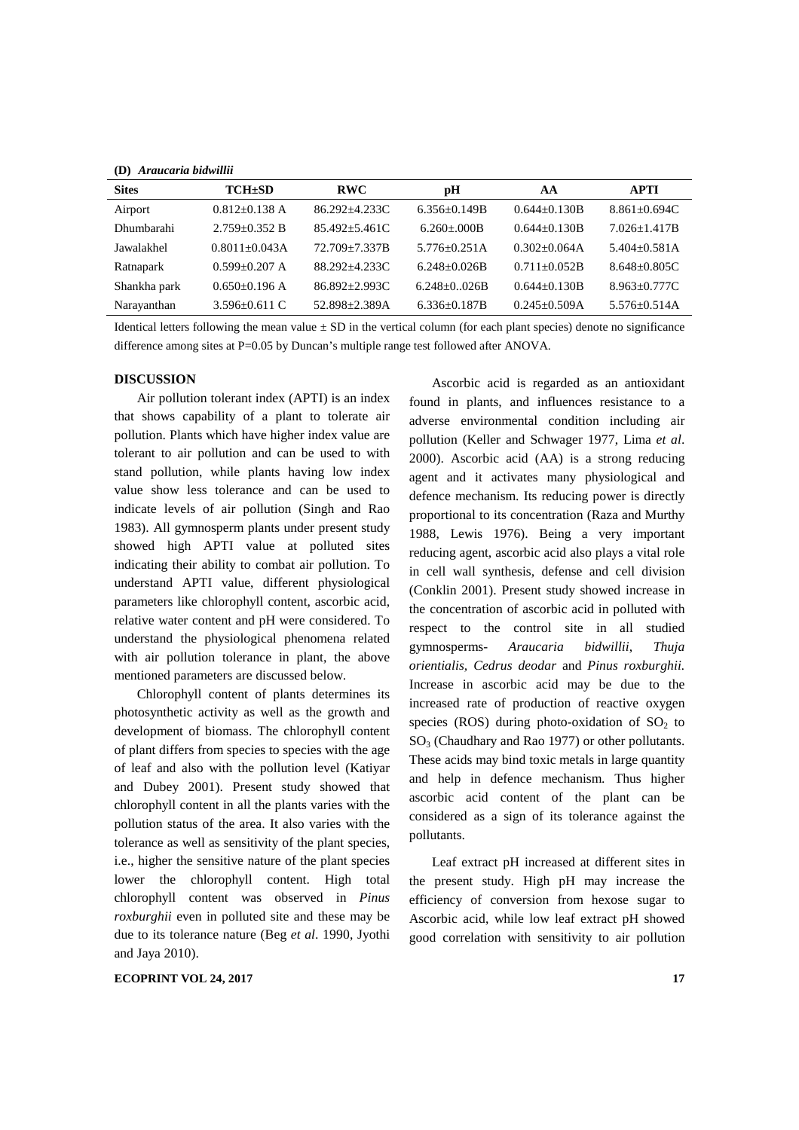**(D)** *Araucaria bidwillii*

| <b>Sites</b> | $TCH \pm SD$        | <b>RWC</b>        | рH                 | AA                  | APTI             |
|--------------|---------------------|-------------------|--------------------|---------------------|------------------|
| Airport      | $0.812 + 0.138$ A   | $86.292 + 4.233C$ | $6.356+0.149B$     | $0.644 + 0.130B$    | $8.861 + 0.694C$ |
| Dhumbarahi   | $2.759 + 0.352 B$   | $85.492 + 5.461C$ | $6.260 + 000B$     | $0.644 + 0.130B$    | $7.026 + 1.417B$ |
| Jawalakhel   | $0.8011 + 0.043A$   | 72.709+7.337B     | $5.776 + 0.251A$   | $0.302 + 0.064A$    | $5.404 + 0.581A$ |
| Ratnapark    | $0.599 + 0.207$ A   | 88.292+4.233C     | $6.248 \pm 0.026B$ | $0.711 + 0.052B$    | $8.648 + 0.805C$ |
| Shankha park | $0.650+0.196$ A     | $86.892 + 2.993C$ | $6.248 + 0.026B$   | $0.644 + 0.130B$    | $8.963 + 0.777C$ |
| Narayanthan  | 3.596 $\pm$ 0.611 C | 52.898±2.389A     | $6.336 \pm 0.187B$ | $0.245 \pm 0.509$ A | $5.576 + 0.514A$ |

Identical letters following the mean value  $\pm$  SD in the vertical column (for each plant species) denote no significance difference among sites at P=0.05 by Duncan's multiple range test followed after ANOVA.

# **DISCUSSION**

Air pollution tolerant index (APTI) is an index that shows capability of a plant to tolerate air pollution. Plants which have higher index value are tolerant to air pollution and can be used to with stand pollution, while plants having low index value show less tolerance and can be used to indicate levels of air pollution (Singh and Rao 1983). All gymnosperm plants under present study showed high APTI value at polluted sites indicating their ability to combat air pollution. To understand APTI value, different physiological parameters like chlorophyll content, ascorbic acid, relative water content and pH were considered. To understand the physiological phenomena related with air pollution tolerance in plant, the above mentioned parameters are discussed below.

Chlorophyll content of plants determines its photosynthetic activity as well as the growth and development of biomass. The chlorophyll content of plant differs from species to species with the age of leaf and also with the pollution level (Katiyar and Dubey 2001). Present study showed that chlorophyll content in all the plants varies with the pollution status of the area. It also varies with the tolerance as well as sensitivity of the plant species, i.e., higher the sensitive nature of the plant species lower the chlorophyll content. High total chlorophyll content was observed in *Pinus roxburghii* even in polluted site and these may be due to its tolerance nature (Beg *et al*. 1990, Jyothi and Jaya 2010).

**ECOPRINT VOL 24, 2017** 17

Ascorbic acid is regarded as an antioxidant found in plants, and influences resistance to a adverse environmental condition including air pollution (Keller and Schwager 1977, Lima *et al*. 2000). Ascorbic acid (AA) is a strong reducing agent and it activates many physiological and defence mechanism. Its reducing power is directly proportional to its concentration (Raza and Murthy 1988, Lewis 1976). Being a very important reducing agent, ascorbic acid also plays a vital role in cell wall synthesis, defense and cell division (Conklin 2001). Present study showed increase in the concentration of ascorbic acid in polluted with respect to the control site in all studied gymnosperms- *Araucaria bidwillii*, *Thuja orientialis, Cedrus deodar* and *Pinus roxburghii.* Increase in ascorbic acid may be due to the increased rate of production of reactive oxygen species (ROS) during photo-oxidation of  $SO<sub>2</sub>$  to  $SO<sub>3</sub>$  (Chaudhary and Rao 1977) or other pollutants. These acids may bind toxic metals in large quantity and help in defence mechanism. Thus higher ascorbic acid content of the plant can be considered as a sign of its tolerance against the pollutants.

Leaf extract pH increased at different sites in the present study. High pH may increase the efficiency of conversion from hexose sugar to Ascorbic acid, while low leaf extract pH showed good correlation with sensitivity to air pollution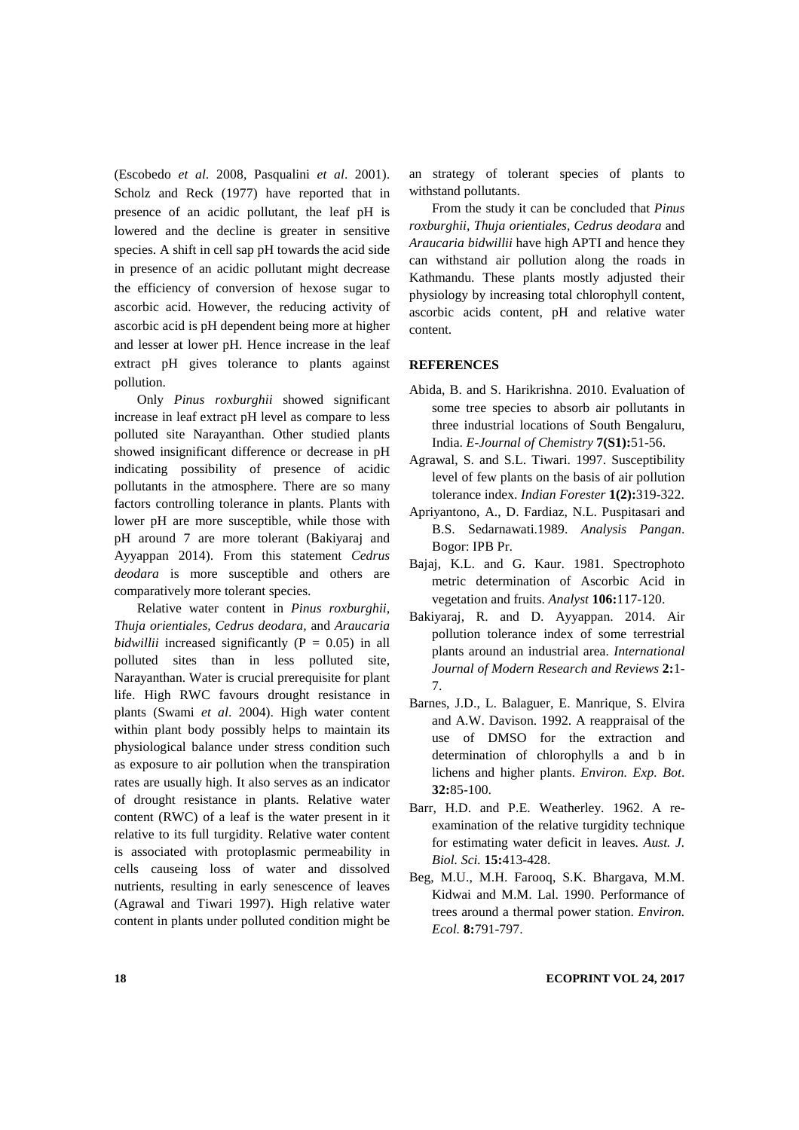(Escobedo *et al*. 2008, Pasqualini *et al*. 2001). Scholz and Reck (1977) have reported that in presence of an acidic pollutant, the leaf pH is lowered and the decline is greater in sensitive species. A shift in cell sap pH towards the acid side in presence of an acidic pollutant might decrease the efficiency of conversion of hexose sugar to ascorbic acid. However, the reducing activity of ascorbic acid is pH dependent being more at higher and lesser at lower pH. Hence increase in the leaf extract pH gives tolerance to plants against pollution.

Only *Pinus roxburghii* showed significant increase in leaf extract pH level as compare to less polluted site Narayanthan. Other studied plants showed insignificant difference or decrease in pH indicating possibility of presence of acidic pollutants in the atmosphere. There are so many factors controlling tolerance in plants. Plants with lower pH are more susceptible, while those with pH around 7 are more tolerant (Bakiyaraj and Ayyappan 2014). From this statement *Cedrus deodara* is more susceptible and others are comparatively more tolerant species.

Relative water content in *Pinus roxburghii, Thuja orientiales, Cedrus deodara,* and *Araucaria bidwillii* increased significantly  $(P = 0.05)$  in all polluted sites than in less polluted site, Narayanthan. Water is crucial prerequisite for plant life. High RWC favours drought resistance in plants (Swami *et al*. 2004). High water content within plant body possibly helps to maintain its physiological balance under stress condition such as exposure to air pollution when the transpiration rates are usually high. It also serves as an indicator of drought resistance in plants. Relative water content (RWC) of a leaf is the water present in it relative to its full turgidity. Relative water content is associated with protoplasmic permeability in cells causeing loss of water and dissolved nutrients, resulting in early senescence of leaves (Agrawal and Tiwari 1997). High relative water content in plants under polluted condition might be an strategy of tolerant species of plants to withstand pollutants.

From the study it can be concluded that *Pinus roxburghii, Thuja orientiales, Cedrus deodara* and *Araucaria bidwillii* have high APTI and hence they can withstand air pollution along the roads in Kathmandu. These plants mostly adjusted their physiology by increasing total chlorophyll content, ascorbic acids content, pH and relative water content.

# **REFERENCES**

- Abida, B. and S. Harikrishna. 2010. Evaluation of some tree species to absorb air pollutants in three industrial locations of South Bengaluru, India. *E-Journal of Chemistry* **7(S1):**51-56.
- Agrawal, S. and S.L. Tiwari. 1997. Susceptibility level of few plants on the basis of air pollution tolerance index. *Indian Forester* **1(2):**319-322.
- Apriyantono, A., D. Fardiaz, N.L. Puspitasari and B.S. Sedarnawati.1989. *Analysis Pangan*. Bogor: IPB Pr.
- Bajaj, K.L. and G. Kaur. 1981. Spectrophoto metric determination of Ascorbic Acid in vegetation and fruits. *Analyst* **106:**117-120.
- Bakiyaraj, R. and D. Ayyappan. 2014. Air pollution tolerance index of some terrestrial plants around an industrial area. *International Journal of Modern Research and Reviews* **2:**1- 7.
- Barnes, J.D., L. Balaguer, E. Manrique, S. Elvira and A.W. Davison. 1992. A reappraisal of the use of DMSO for the extraction and determination of chlorophylls a and b in lichens and higher plants. *Environ. Exp. Bot*. **32:**85-100.
- Barr, H.D. and P.E. Weatherley. 1962. A reexamination of the relative turgidity technique for estimating water deficit in leaves. *Aust. J. Biol. Sci.* **15:**413-428.
- Beg, M.U., M.H. Farooq, S.K. Bhargava, M.M. Kidwai and M.M. Lal. 1990. Performance of trees around a thermal power station. *Environ. Ecol.* **8:**791-797.